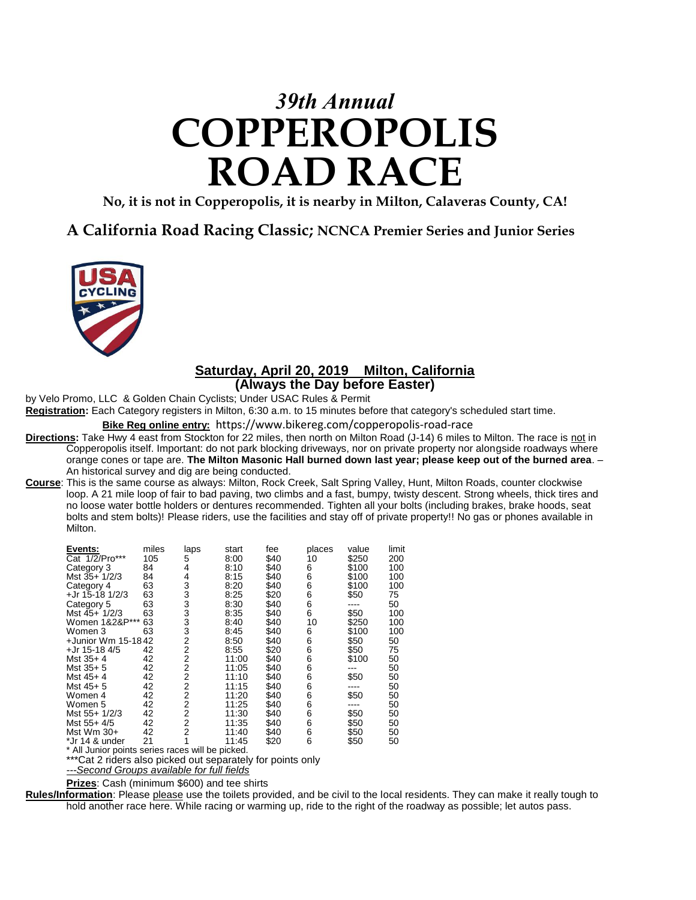# *39th Annual* **COPPEROPOLIS ROAD RACE**

**No, it is not in Copperopolis, it is nearby in Milton, Calaveras County, CA!**

## **A California Road Racing Classic; NCNCA Premier Series and Junior Series**



### **Saturday, April 20, 2019 Milton, California (Always the Day before Easter)**

by Velo Promo, LLC & Golden Chain Cyclists; Under USAC Rules & Permit

**Registration:** Each Category registers in Milton, 6:30 a.m. to 15 minutes before that category's scheduled start time.

**Bike Reg online entry:** https://www.bikereg.com/copperopolis-road-race

**Directions:** Take Hwy 4 east from Stockton for 22 miles, then north on Milton Road (J-14) 6 miles to Milton. The race is not in Copperopolis itself. Important: do not park blocking driveways, nor on private property nor alongside roadways where orange cones or tape are. **The Milton Masonic Hall burned down last year; please keep out of the burned area**. – An historical survey and dig are being conducted.

**Course**: This is the same course as always: Milton, Rock Creek, Salt Spring Valley, Hunt, Milton Roads, counter clockwise loop. A 21 mile loop of fair to bad paving, two climbs and a fast, bumpy, twisty descent. Strong wheels, thick tires and no loose water bottle holders or dentures recommended. Tighten all your bolts (including brakes, brake hoods, seat bolts and stem bolts)! Please riders, use the facilities and stay off of private property!! No gas or phones available in Milton.

| Events:                                             | miles | laps           | start | fee  | places | value | limit |
|-----------------------------------------------------|-------|----------------|-------|------|--------|-------|-------|
| Cat 1/2/Pro***                                      | 105   | 5              | 8:00  | \$40 | 10     | \$250 | 200   |
| Category 3                                          | 84    | 4              | 8:10  | \$40 | 6      | \$100 | 100   |
| Mst 35+ 1/2/3                                       | 84    | 4              | 8:15  | \$40 | 6      | \$100 | 100   |
| Category 4                                          | 63    | 3              | 8:20  | \$40 | 6      | \$100 | 100   |
| +Jr 15-18 1/2/3                                     | 63    | 3              | 8:25  | \$20 | 6      | \$50  | 75    |
| Category 5                                          | 63    | 3              | 8:30  | \$40 | 6      |       | 50    |
| Mst 45+ 1/2/3                                       | 63    | 3              | 8:35  | \$40 | 6      | \$50  | 100   |
| Women 1&2&P***                                      | 63    | 3              | 8:40  | \$40 | 10     | \$250 | 100   |
| Women 3                                             | 63    | 3              | 8:45  | \$40 | 6      | \$100 | 100   |
| +Junior Wm 15-1842                                  |       | 2              | 8:50  | \$40 | 6      | \$50  | 50    |
| +Jr 15-18 4/5                                       | 42    | $\overline{2}$ | 8:55  | \$20 | 6      | \$50  | 75    |
| Mst $35+4$                                          | 42    | 2              | 11:00 | \$40 | 6      | \$100 | 50    |
| Mst 35+5                                            | 42    | $\overline{2}$ | 11:05 | \$40 | 6      |       | 50    |
| Mst $45+4$                                          | 42    | $\overline{2}$ | 11:10 | \$40 | 6      | \$50  | 50    |
| Mst 45+5                                            | 42    | 2              | 11:15 | \$40 | 6      |       | 50    |
| Women 4                                             | 42    | 2              | 11:20 | \$40 | 6      | \$50  | 50    |
| Women 5                                             | 42    | $\overline{2}$ | 11:25 | \$40 | 6      |       | 50    |
| Mst 55+ 1/2/3                                       | 42    | $\overline{2}$ | 11:30 | \$40 | 6      | \$50  | 50    |
| Mst 55+4/5                                          | 42    | 2              | 11:35 | \$40 | 6      | \$50  | 50    |
| Mst Wm 30+                                          | 42    | $\overline{2}$ | 11:40 | \$40 | 6      | \$50  | 50    |
| *Jr 14 & under                                      | 21    |                | 11:45 | \$20 | 6      | \$50  | 50    |
| الممرامات مط الأبيد<br>$*$ All lunios nointe cosice |       |                |       |      |        |       |       |

Il Junior points series races will be picked. \*\*\*Cat 2 riders also picked out separately for points only

*---Second Groups available for full fields*

**Prizes**: Cash (minimum \$600) and tee shirts

**Rules/Information**: Please please use the toilets provided, and be civil to the local residents. They can make it really tough to hold another race here. While racing or warming up, ride to the right of the roadway as possible; let autos pass.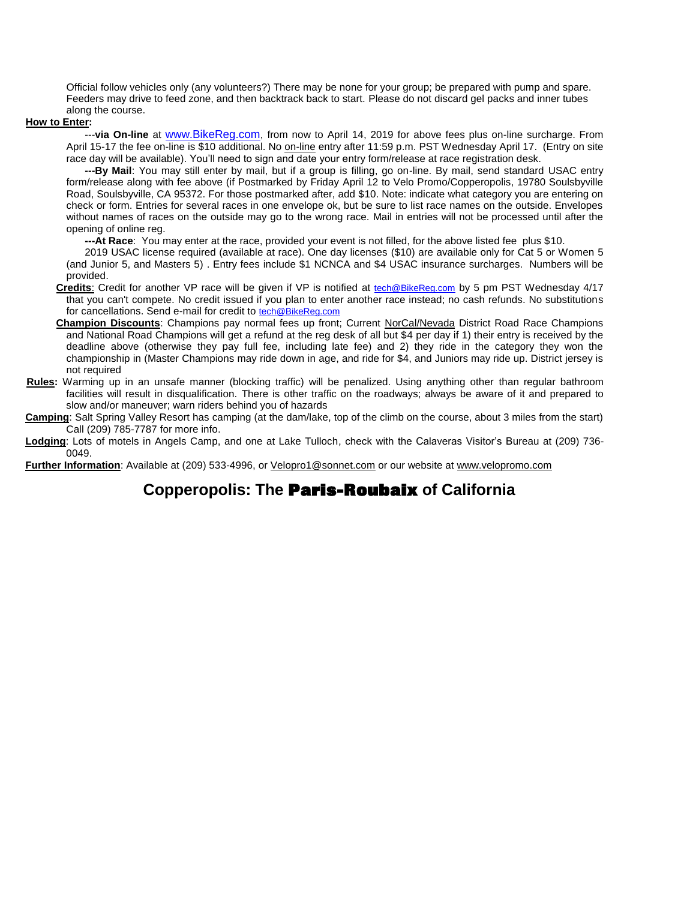Official follow vehicles only (any volunteers?) There may be none for your group; be prepared with pump and spare. Feeders may drive to feed zone, and then backtrack back to start. Please do not discard gel packs and inner tubes along the course.

#### **How to Enter:**

 ---**via On-line** at [www.BikeReg.com](http://www.bikereg.com/), from now to April 14, 2019 for above fees plus on-line surcharge. From April 15-17 the fee on-line is \$10 additional. No on-line entry after 11:59 p.m. PST Wednesday April 17. (Entry on site race day will be available). You'll need to sign and date your entry form/release at race registration desk.

 **---By Mail**: You may still enter by mail, but if a group is filling, go on-line. By mail, send standard USAC entry form/release along with fee above (if Postmarked by Friday April 12 to Velo Promo/Copperopolis, 19780 Soulsbyville Road, Soulsbyville, CA 95372. For those postmarked after, add \$10. Note: indicate what category you are entering on check or form. Entries for several races in one envelope ok, but be sure to list race names on the outside. Envelopes without names of races on the outside may go to the wrong race. Mail in entries will not be processed until after the opening of online reg.

**---At Race**: You may enter at the race, provided your event is not filled, for the above listed fee plus \$10.

 2019 USAC license required (available at race). One day licenses (\$10) are available only for Cat 5 or Women 5 (and Junior 5, and Masters 5) . Entry fees include \$1 NCNCA and \$4 USAC insurance surcharges. Numbers will be provided.

- **Credits**: Credit for another VP race will be given if VP is notified at [tech@BikeReg.com](mailto:velopromo@sportsbaseonline.com) by 5 pm PST Wednesday 4/17 that you can't compete. No credit issued if you plan to enter another race instead; no cash refunds. No substitutions for cancellations. Send e-mail for credit to [tech@BikeReg.com](mailto:velopromo@sportsbaseonline.com)
- **Champion Discounts**: Champions pay normal fees up front; Current NorCal/Nevada District Road Race Champions and National Road Champions will get a refund at the reg desk of all but \$4 per day if 1) their entry is received by the deadline above (otherwise they pay full fee, including late fee) and 2) they ride in the category they won the championship in (Master Champions may ride down in age, and ride for \$4, and Juniors may ride up. District jersey is not required
- **Rules:** Warming up in an unsafe manner (blocking traffic) will be penalized. Using anything other than regular bathroom facilities will result in disqualification. There is other traffic on the roadways; always be aware of it and prepared to slow and/or maneuver; warn riders behind you of hazards
- **Camping**: Salt Spring Valley Resort has camping (at the dam/lake, top of the climb on the course, about 3 miles from the start) Call (209) 785-7787 for more info.
- **Lodging**: Lots of motels in Angels Camp, and one at Lake Tulloch, check with the Calaveras Visitor's Bureau at (209) 736- 0049.

**Further Information**: Available at (209) 533-4996, or [Velopro1@sonnet.com](mailto:Velopro1@sonnet.com) or our website at [www.velopromo.com](http://www.velopromo.com/)

## **Copperopolis: The Paris-Roubaix of California**